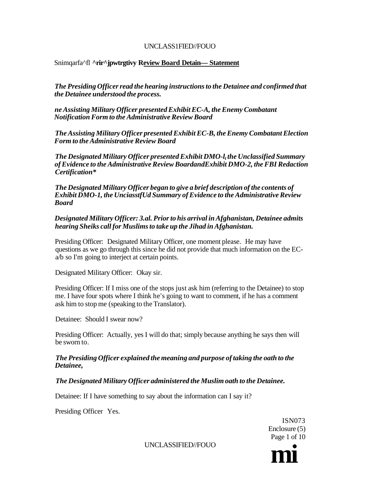# Snimqarfa^fl **^rir^jpwtrgtivy Review Board Detain— Statement**

*The Presiding Officer read the hearing instructions to the Detainee and confirmed that the Detainee understood the process.* 

*ne Assisting Military Officer presented Exhibit EC-A, the Enemy Combatant Notification Form to the Administrative Review Board* 

*The Assisting Military Officer presented Exhibit EC-B, the Enemy Combatant Election Form to the Administrative Review Board* 

*The Designated Military Officer presented Exhibit DMO-l<sup>t</sup> the Unclassified Summary of Evidence to the Administrative Review BoardandExhibit DMO-2, the FBI Redaction Certification\** 

*The Designated Military Officer began to give a brief description of the contents of Exhibit DMO-1, the UnciasstfUd Summary of Evidence to the Administrative Review Board* 

*Designated Military Officer: 3.al. Prior to his arrival in Afghanistan, Detainee admits hearing Sheiks call for Muslims to take up the Jihad in Afghanistan.* 

Presiding Officer: Designated Military Officer, one moment please. He may have questions as we go through this since he did not provide that much information on the ECa/b so I'm going to interject at certain points.

Designated Military Officer: Okay sir.

Presiding Officer: If I miss one of the stops just ask him (referring to the Detainee) to stop me. I have four spots where I think he's going to want to comment, if he has a comment ask him to stop me (speaking to the Translator).

Detainee: Should I swear now?

Presiding Officer: Actually, yes I will do that; simply because anything he says then will be sworn to.

### *The Presiding Officer explained the meaning and purpose of taking the oath to the Detainee,*

*The Designated Military Officer administered the Muslim oath to the Detainee.* 

Detainee: If I have something to say about the information can I say it?

Presiding Officer Yes.

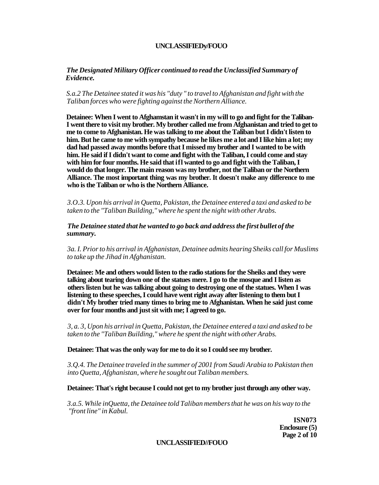### *The Designated Military Officer continued to read the Unclassified Summary of Evidence.*

### *S.a.2 The Detainee stated it was his "duty " to travel to Afghanistan and fight with the Taliban forces who were fighting against the Northern Alliance.*

**Detainee: When I went to Afghamstan it wasn't in my will to go and fight for the Taliban-I went there to visit my brother. My brother called me from Afghanistan and tried to get to me to come to Afghanistan. He was talking to me about the Taliban but I didn't listen to him. But he came to me with sympathy because he likes me a lot and I like him a lot; my dad had passed away months before that I missed my brother and I wanted to be with him. He said if I didn't want to come and fight with the Taliban, I could come and stay with him for four months. He said that ifl wanted to go and fight with the Taliban, I would do that longer. The main reason was my brother, not the Taliban or the Northern Alliance. The most important thing was my brother. It doesn't make any difference to me who is the Taliban or who is the Northern Alliance.** 

*3.O.3. Upon his arrival in Quetta, Pakistan, the Detainee entered a taxi and asked to be taken to the "Taliban Building," where he spent the night with other Arabs.* 

### *The Detainee stated that he wanted to go back and address the first bullet of the summary.*

*3a. I. Prior to his arrival in Afghanistan, Detainee admits hearing Sheiks call for Muslims to take up the Jihad in Afghanistan.* 

**Detainee: Me and others would listen to the radio stations for the Sheiks and they were talking about tearing down one of the statues mere. I go to the mosque and I listen as others listen but he was talking about going to destroying one of the statues. When I was listening to these speeches, I could have went right away after listening to them but I didn't My brother tried many times to bring me to Afghanistan. When he said just come over for four months and just sit with me; I agreed to go.** 

*3, a. 3, Upon his arrival in Quetta, Pakistan, the Detainee entered a taxi and asked to be taken to the "Taliban Building," where he spent the night with other Arabs.* 

#### **Detainee: That was the only way for me to do it so I could see my brother.**

*3.Q.4. The Detainee traveled in the summer of 2001 from Saudi Arabia to Pakistan then into Quetta, Afghanistan, where he sought out Taliban members.* 

#### **Detainee: That's right because I could not get to my brother just through any other way.**

*3.a.5. While inQuetta, the Detainee told Taliban members that he was on his way to the "front line" in Kabul.* 

> **ISN073 Enclosure (5) Page 2 of 10**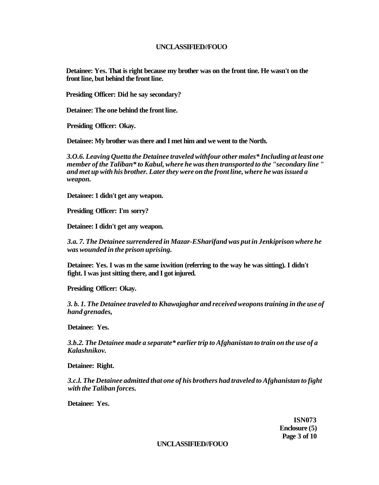**Detainee: Yes. That is right because my brother was on the front tine. He wasn't on the front line, but behind the front line.** 

**Presiding Officer: Did he say secondary?** 

**Detainee: The one behind the front line.** 

**Presiding Officer: Okay.** 

**Detainee: My brother was there and I met him and we went to the North.** 

*3.O.6. Leaving Quetta the Detainee traveled withfour other males\* Including at least one member of the Taliban\* to Kabul, where he was then transported to the "secondary line " and met up with his brother. Later they were on the front line, where he was issued a weapon.* 

**Detainee: 1 didn't get any weapon.** 

**Presiding Officer: I'm sorry?** 

**Detainee: I didn't get any weapon.** 

*3.a. 7. The Detainee surrendered in Mazar-ESharifand was put in Jenkiprison where he was wounded in the prison uprising.* 

**Detainee: Yes. I was m the same ixwition (referring to the way he was sitting). I didn't fight. I was just sitting there, and I got injured.** 

**Presiding Officer: Okay.** 

*3. b. 1. The Detainee traveled to Khawajaghar and received weopons training in the use of hand grenades,* 

**Detainee: Yes.** 

*3.b.2. The Detainee made a separate\* earlier trip to Afghanistan to train on the use of a Kalashnikov.* 

**Detainee: Right.** 

*3.c.l. The Detainee admitted that one of his brothers had traveled to Afghanistan to fight with the Taliban forces.* 

**Detainee: Yes.** 

**ISN073 Enclosure (5) Page 3 of 10**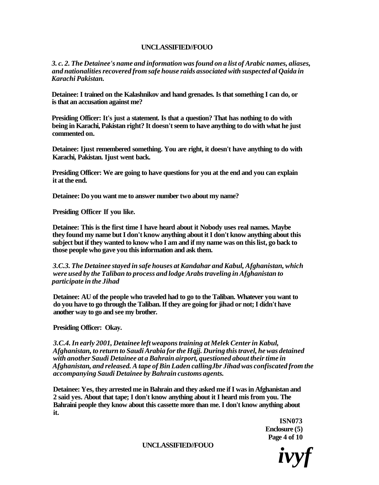*3. c. 2. The Detainee's name and information was found on a list of Arabic names, aliases, and nationalities recovered from safe house raids associated with suspected al Qaida in Karachi Pakistan.* 

**Detainee: I trained on the Kalashnikov and hand grenades. Is that something I can do, or is that an accusation against me?** 

**Presiding Officer: It's just a statement. Is that a question? That has nothing to do with being in Karachi, Pakistan right? It doesn't seem to have anything to do with what he just commented on.** 

**Detainee: Ijust remembered something. You are right, it doesn't have anything to do with Karachi, Pakistan. Ijust went back.** 

**Presiding Officer: We are going to have questions for you at the end and you can explain it at the end.** 

**Detainee: Do you want me to answer number two about my name?** 

**Presiding Officer If you like.** 

**Detainee: This is the first time I have heard about it Nobody uses real names. Maybe they found my name but I don't know anything about it I don't know anything about this subject but if they wanted to know who I am and if my name was on this list, go back to those people who gave you this information and ask them.** 

*3.C.3. The Detainee stayed in safe houses at Kandahar and Kabul, Afghanistan, which were used by the Taliban to process and lodge Arabs traveling in Afghanistan to participate in the Jihad* 

**Detainee: AU of the people who traveled had to go to the Taliban. Whatever you want to do you have to go through the Taliban. If they are going for jihad or not; I didn't have another way to go and see my brother.** 

**Presiding Officer: Okay.** 

*3.C.4. In early 2001, Detainee left weapons training at Melek Center in Kabul, Afghanistan, to return to Saudi Arabia for the Hqjj. During this travel, he was detained with another Saudi Detainee at a Bahrain airport, questioned about their time in Afghanistan, and released. A tape of Bin Laden callingJbr Jihad was confiscated from the accompanying Saudi Detainee by Bahrain customs agents.* 

**Detainee: Yes, they arrested me in Bahrain and they asked me if I was in Afghanistan and 2 said yes. About that tape; I don't know anything about it I heard mis from you. The Bahraini people they know about this cassette more than me. I don't know anything about it.** 

> **ISN073 Enclosure (5) Page 4 of 10**

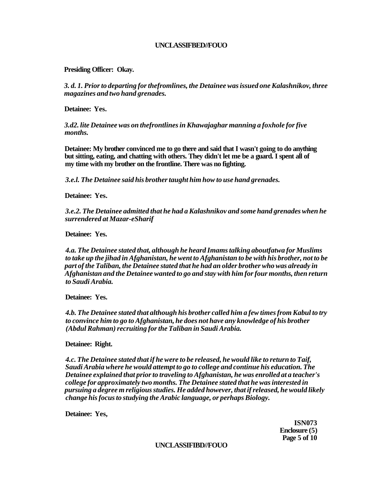**Presiding Officer: Okay.** 

*3. d. 1. Prior to departing for thefromlines, the Detainee was issued one Kalashnikov, three magazines and two hand grenades.* 

**Detainee: Yes.** 

*3.d2. lite Detainee was on thefrontlines in Khawajaghar manning a foxhole for five months.* 

**Detainee: My brother convinced me to go there and said that I wasn't going to do anything but sitting, eating, and chatting with others. They didn't let me be a guard. I spent all of my time with my brother on the frontline. There was no fighting.** 

*3.e.l. The Detainee said his brother taught him how to use hand grenades.* 

**Detainee: Yes.** 

*3.e.2. The Detainee admitted that he had a Kalashnikov and some hand grenades when he surrendered at Mazar-eSharif* 

**Detainee: Yes.** 

*4.a. The Detainee stated that, although he heard Imams talking aboutfatwa for Muslims to take up the jihad in Afghanistan, he went to Afghanistan to be with his brother, not to be part of the Taliban, the Detainee stated that he had an older brother who was already in Afghanistan and the Detainee wanted to go and stay with him for four months, then return to Saudi Arabia.* 

**Detainee: Yes.** 

*4.b. The Detainee stated that although his brother called him a few times from Kabul to try to convince him to go to Afghanistan, he does not have any knowledge of his brother (Abdul Rahman) recruiting for the Taliban in Saudi Arabia.* 

**Detainee: Right.** 

*4.c. The Detainee stated that if he were to be released, he would like to return to Taif, Saudi Arabia where he would attempt to go to college and continue his education. The Detainee explained that prior to traveling to Afghanistan, he was enrolled at a teacher's college for approximately two months. The Detainee stated that he was interested in pursuing a degree m religious studies. He added however, that if released, he would likely change his focus to studying the Arabic language, or perhaps Biology.* 

**Detainee: Yes,** 

**ISN073 Enclosure (5) Page 5 of 10**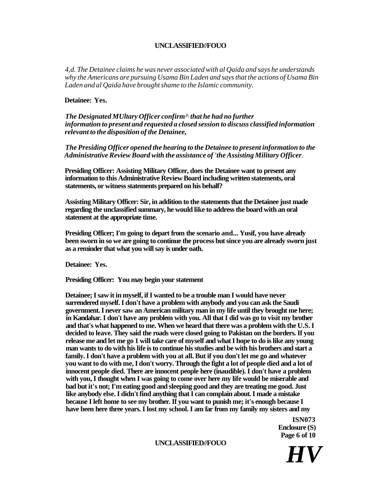*4,d. The Detainee claims he was never associated with al Qaida and says he understands why the Americans are pursuing Usama Bin Laden and says that the actions of Usama Bin Laden and al Qaida have brought shame to the Islamic community.* 

#### **Detainee: Yes.**

*The Designated MUltary Officer confirm^ that he had no further information to present and requested a closed session to discuss classified information relevant to the disposition of the Detainee,* 

*The Presiding Officer opened the hearing to the Detainee to present information to the Administrative Review Board with the assistance of 'the Assisting Military Officer.* 

**Presiding Officer: Assisting Military Officer, does the Detainee want to present any information to this Administrative Review Board including written statements, oral statements, or witness statements prepared on his behalf?** 

**Assisting Military Officer: Sir, in addition to the statements that the Detainee just made regarding the unclassified summary, he would like to address the board with an oral statement at the appropriate time.** 

**Presiding Officer; I'm going to depart from the scenario and... Yusif, you have already been sworn in so we are going to continue the process but since you are already sworn just as a reminder that what you will say is under oath.** 

**Detainee: Yes.** 

**Presiding Officer: You may begin your statement** 

**Detainee; I saw it in myself, if I wanted to be a trouble man I would have never surrendered myself. I don't have a problem with anybody and you can ask the Saudi government. I never saw an American military man in my life until they brought me here; in Kandahar. I don't have any problem with you. All that I did was go to visit my brother and that's what happened to me. When we heard that there was a problem with the U.S. I decided to leave. They said the roads were closed going to Pakistan on the borders. If you release me and let me go 1 will take care of myself and what I hope to do is like any young man wants to do with his life is to continue his studies and be with his brothers and start a family. I don't have a problem with you at all. But if you don't let me go and whatever you want to do with me, I don't worry. Through the fight a lot of people died and a lot of innocent people died. There are innocent people here (inaudible). I don't have a problem with you, I thought when I was going to come over here my life would be miserable and bad but it's not; I'm eating good and sleeping good and they are treating me good. Just like anybody else. I didn't find anything that I can complain about. I made a mistake because I left home to see my brother. If you want to punish me; it's enough because I have been here three years. I lost my school. I am far from my family my sisters and my** 

> **ISN073 Enclosure (S) Page 6 of 10**

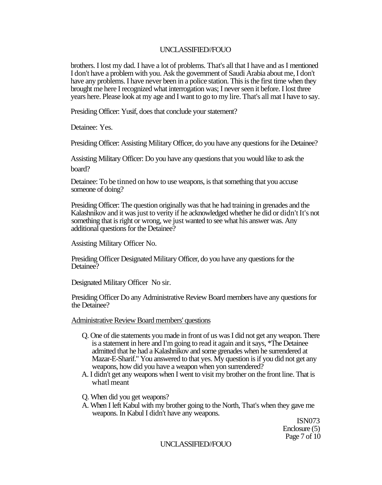brothers. I lost my dad. I have a lot of problems. That's all that I have and as I mentioned I don't have a problem with you. Ask the government of Saudi Arabia about me, I don't have any problems. I have never been in a police station. This is the first time when they brought me here I recognized what interrogation was; I never seen it before. I lost three years here. Please look at my age and I want to go to my lire. That's all mat I have to say.

Presiding Officer: Yusif, does that conclude your statement?

Detainee: Yes.

Presiding Officer: Assisting Military Officer, do you have any questions for ihe Detainee?

Assisting Military Officer: Do you have any questions that you would like to ask the board?

Detainee: To be tinned on how to use weapons, is that something that you accuse someone of doing?

Presiding Officer: The question originally was that he had training in grenades and the Kalashnikov and it was just to verity if he acknowledged whether he did or didn't It's not something that is right or wrong, we just wanted to see what his answer was. Any additional questions for the Detainee?

Assisting Military Officer No.

Presiding Officer Designated Military Officer, do you have any questions for the Detainee?

Designated Military Officer No sir.

Presiding Officer Do any Administrative Review Board members have any questions for the Detainee?

Administrative Review Board members' questions

- Q. One of die statements you made in front of us was I did not get any weapon. There is a statement in here and I'm going to read it again and it says, \*The Detainee admitted that he had a Kalashnikov and some grenades when he surrendered at Mazar-E-Sharif." You answered to that yes. My question is if you did not get any weapons, how did you have a weapon when yon surrendered?
- A. I didn't get any weapons when I went to visit my brother on the front line. That is whatl meant
- Q. When did you get weapons?
- A. When I left Kabul with my brother going to the North, That's when they gave me weapons. In Kabul I didn't have any weapons.

ISN073 Enclosure (5) Page 7 of 10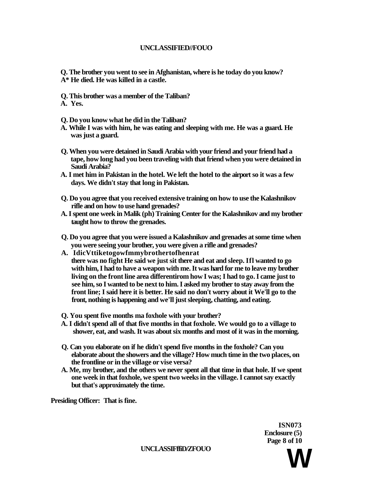- **Q. The brother you went to see in Afghanistan, where is he today do you know? A\* He died. He was killed in a castle.**
- **Q. This brother was a member of the Taliban?**
- **A. Yes.**
- **Q. Do you know what he did in the Taliban?**
- **A. While I was with him, he was eating and sleeping with me. He was a guard. He was just a guard.**
- **Q. When you were detained in Saudi Arabia with your friend and your friend had a tape, how long had you been traveling with that friend when you were detained in Saudi Arabia?**
- **A. I met him in Pakistan in the hotel. We left the hotel to the airport so it was a few days. We didn't stay that long in Pakistan.**
- **Q. Do you agree that you received extensive training on how to use the Kalashnikov rifle and on how to use hand grenades?**
- **A. I spent one week in Malik (ph) Training Center for the Kalashnikov and my brother taught how to throw the grenades.**
- **Q. Do you agree that you were issued a Kalashnikov and grenades at some time when you were seeing your brother, you were given a rifle and grenades?**
- **A. IdicVttiketogowfmmybrothertofhenrat there was no fight He said we just sit there and eat and sleep. Ifl wanted to go with him, I had to have a weapon with me. It was hard for me to leave my brother living on the front line area differentirom how I was; I had to go. I came just to see him, so I wanted to be next to him. I asked my brother to stay away from the front line; I said here it is better. He said no don't worry about it We'll go to the front, nothing is happening and we'll just sleeping, chatting, and eating.**
- **Q. You spent five months ma foxhole with your brother?**
- **A. I didn't spend all of that five months in that foxhole. We would go to a village to shower, eat, and wash. It was about six months and most of it was in the morning.**
- **Q. Can you elaborate on if he didn't spend five months in the foxhole? Can you elaborate about the showers and the village? How much time in the two places, on the frontline or in the village or vise versa?**
- **A. Me, my brother, and the others we never spent all that time in that hole. If we spent one week in that foxhole, we spent two weeks in the village. I cannot say exactly but that's approximately the time.**

**Presiding Officer: That is fine.** 

**ISN073 Enclosure (5) Page 8 of 10** 

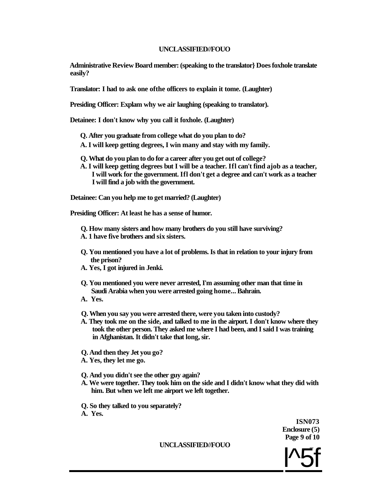**Administrative Review Board member: (speaking to the translator} Does foxhole translate easily?** 

**Translator: I had to ask one ofthe officers to explain it tome. (Laughter)** 

**Presiding Officer: Explam why we air laughing (speaking to translator).** 

**Detainee: I don't know why you call it foxhole. (Laughter)** 

- **Q. After you graduate from college what do you plan to do?**
- **A. I will keep getting degrees, I win many and stay with my family.**
- **Q. What do you plan to do for a career after you get out of college?**
- **A. I will keep getting degrees but I will be a teacher. Ifl can't find ajob as a teacher, I will work for the government. Ifl don't get a degree and can't work as a teacher I will find a job with the government.**

**Detainee: Can you help me to get married? (Laughter)** 

**Presiding Officer: At least he has a sense of humor.** 

**Q. How many sisters and how many brothers do you still have surviving? A. 1 have five brothers and six sisters.** 

- **Q. You mentioned you have a lot of problems. Is that in relation to your injury from the prison?**
- **A. Yes, I got injured in Jenki.**
- **Q. You mentioned you were never arrested, I'm assuming other man that time in Saudi Arabia when you were arrested going home... Bahrain.**
- **A. Yes.**
- **Q. When you say you were arrested there, were you taken into custody?**
- **A. They took me on the side, and talked to me in the airport. I don't know where they took the other person. They asked me where I had been, and I said I was training in Afghanistan. It didn't take that long, sir.**
- **Q. And then they Jet you go?**
- **A. Yes, they let me go.**
- **Q. And you didn't see the other guy again?**
- **A. We were together. They took him on the side and I didn't know what they did with him. But when we left me airport we left together.**

**Q. So they talked to you separately? A. Yes.** 

> **ISN073 Enclosure (5) Page 9 of 10**

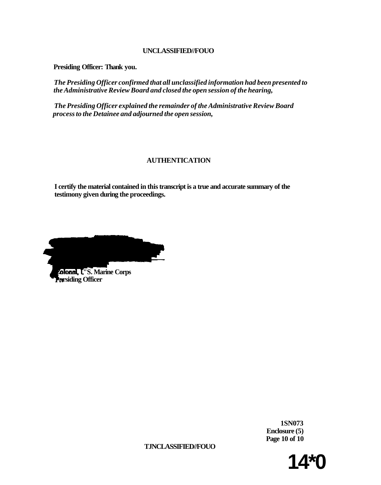**Presiding Officer: Thank you.** 

*The Presiding Officer confirmed that all unclassified information had been presented to the Administrative Review Board and closed the open session of the hearing,* 

*The Presiding Officer explained the remainder of the Administrative Review Board process to the Detainee and adjourned the open session,* 

# **AUTHENTICATION**

**I certify the material contained in this transcript is a true and accurate summary of the testimony given during the proceedings.** 

**Colonel, U'S. Marine Corps Presiding Officer** 

**1SN073 Enclosure (5) Page 10 of 10** 

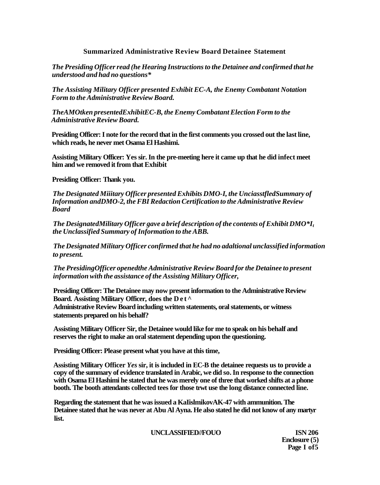# **Summarized Administrative Review Board Detainee Statement**

*The Presiding Officer read (he Hearing Instructions to the Detainee and confirmed that he understood and had no questions\** 

*The Assisting Military Officer presented Exhibit EC-A, the Enemy Combatant Notation Form to the Administrative Review Board.* 

*TheAMOtken presentedExhibitEC-B, the Enemy Combatant Election Form to the Administrative Review Board.* 

**Presiding Officer: I note for the record that in the first comments you crossed out the last line, which reads, he never met Osama El Hashimi.** 

**Assisting Military Officer: Yes sir. In the pre-meeting here it came up that he did infect meet him and we removed it from that Exhibit** 

**Presiding Officer: Thank you.** 

*The Designated Miiitary Officer presented Exhibits DMO-I, the UnciasstfledSummary of Information andDMO-2, the FBI Redaction Certification to the Administrative Review Board* 

*The DesignatedMilitary Officer gave a brief description of the contents of Exhibit DMO\*I<sup>t</sup> the Unclassified Summary of Information to the ABB.* 

*The Designated Military Officer confirmed that he had no adaltional unclassified information to present.* 

*The PresidingOfficer openedthe Administrative Review Board for the Detainee to present information with the assistance of the Assisting Military Officer,* 

**Presiding Officer: The Detainee may now present information to the Administrative Review Board. Assisting Military Officer, does the Det ^** 

**Administrative Review Board including written statements, oral statements, or witness statements prepared on his behalf?** 

**Assisting Military Officer Sir, the Detainee would like for me to speak on his behalf and reserves the right to make an oral statement depending upon the questioning.** 

**Presiding Officer: Please present what you have at this time,** 

**Assisting Military Officer** *Yes* **sir, it is included in EC-B the detainee requests us to provide a copy of the summary of evidence translated in Arabic, we did so. In response to the connection with Osama El Hashimi he stated that he was merely one of three that worked shifts at a phone booth. The booth attendants collected tees for those trwt use the long distance connected line.** 

**Regarding the statement that he was issued a KaIislmikovAK-47 with ammunition. The Detainee stated that he was never at Abu Al Ayna. He also stated he did not know of any martyr list.** 

**UNCLASSIFIED//FOUO ISN 206** 

**Enclosure (5) Page I of5**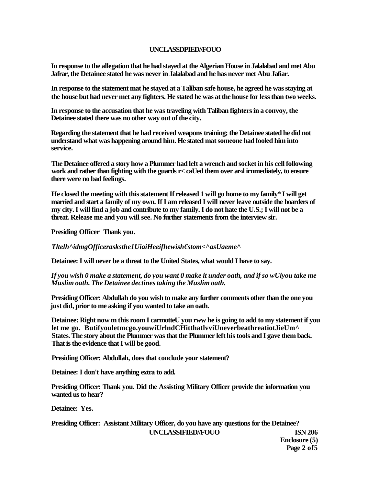# **UNCLASSDPIED//FOUO**

**In response to the allegation that he had stayed at the Algerian House in Jalalabad and met Abu Jafrar, the Detainee stated he was never in Jalalabad and he has never met Abu Jafiar.** 

**In response to the statement mat he stayed at a Taliban safe house, he agreed he was staying at the house but had never met any fighters. He stated he was at the house for less than two weeks.** 

**In response to the accusation that he was traveling with Taliban fighters in a convoy, the Detainee stated there was no other way out of the city.** 

**Regarding the statement that he had received weapons training; the Detainee stated he did not understand what was happening around him. He stated mat someone had fooled him into service.** 

**The Detainee offered a story how a Plummer had left a wrench and socket in his cell following work and rather than fighting with the guards r< caUed them over ar«l irnmediately, to ensure there were no bad feelings.** 

**He closed the meeting with this statement If released 1 will go home to my family\* I will get married and start a family of my own. If I am released I will never leave outside the boarders of my city. I will find a job and contribute to my family. I do not hate the U.S.; I will not be a threat. Release me and you will see. No further statements from the interview sir.** 

**Presiding Officer Thank you.** 

*Tltelh^idmgOfficerasksthe1UiaiHeeifhewish€stom<^asUaeme^* 

**Detainee: I will never be a threat to the United States, what would I have to say.** 

*If you wish 0 make a statement, do you want 0 make it under oath, and if so wUiyou take me Muslim oath. The Detainee dectines taking the Muslim oath.* 

**Presiding Officer: Abdullah do you wish to make any further comments other than the one you just did, prior to me asking if you wanted to take an oath.** 

**Detainee: Right now m this room I carmotteU you rww he is going to add to my statement if you let me go. Butifyouletmcgo.youwiUrlndCHitthatlvviUneverbeathreatiotJieUm^ States. The story about the Plummer was that the Plummer left his tools and I gave them back. That is the evidence that I will be good.** 

**Presiding Officer: Abdullah, does that conclude your statement?** 

**Detainee: I don't have anything extra to add.** 

**Presiding Officer: Thank you. Did the Assisting Military Officer provide the information you wanted us to hear?** 

**Detainee: Yes.** 

**Presiding Officer: Assistant Military Officer, do you have any questions for the Detainee? UNCLASSIFIED//FOUO ISN 206** 

**Enclosure (5) Page 2 of5**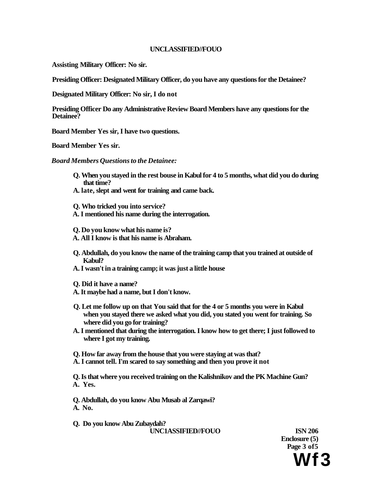**Assisting Military Officer: No sir.** 

**Presiding Officer: Designated Military Officer, do you have any questions for the Detainee?** 

**Designated Military Officer: No sir, I do not** 

**Presiding Officer Do any Administrative Review Board Members have any questions for the Detainee?** 

**Board Member Yes sir, I have two questions.** 

**Board Member Yes sir.** 

*Board Members Questions to the Detainee:* 

- **Q. When you stayed in the rest bouse in Kabul for 4 to 5 months, what did you do during that time?**
- **A. late, slept and went for training and came back.**
- **Q. Who tricked you into service? A. I mentioned his name during the interrogation.**
- **Q. Do you know what his name is?**
- **A. All I know is that his name is Abraham.**
- **Q. Abdullah, do you know the name of the training camp that you trained at outside of Kabul?**
- **A. I wasn't in a training camp; it was just a little house**
- **Q. Did it have a name?**
- **A. It maybe had a name, but I don't know.**
- **Q. Let me follow up on that You said that for the 4 or 5 months you were in Kabul when you stayed there we asked what you did, you stated you went for training. So where did you go for training?**
- **A. I mentioned that during the interrogation. I know how to get there; I just followed to where I got my training.**

**Q. How far away from the house that you were staying at was that?** 

**A. I cannot tell. I'm scared to say something and then you prove it not** 

**Q. Is that where you received training on the Kalishnikov and the PK Machine Gun? A. Yes.** 

**Q. Abdullah, do you know Abu Musab al Zarqawi? A. No.** 

**Q. Do you know Abu Zubaydah? UNC1ASSIFIED//FOUO ISN 206** 

**Enclosure (5) Page 3 of5 Wf3**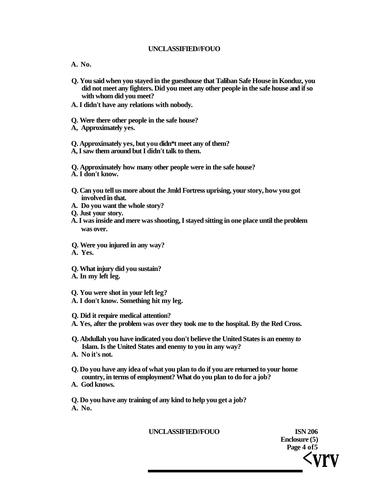- **A. No.**
- **Q. You said when you stayed in the guesthouse that Taliban Safe House in Konduz, you did not meet any fighters. Did you meet any other people in the safe house and if so with whom did you meet?**
- **A. I didn't have any relations with nobody.**
- **Q. Were there other people in the safe house?**
- **A, Approximately yes.**

**Q. Approximately yes, but you didn\*t meet any of them?** 

**A, I saw them around but I didn't talk to them.** 

**Q. Approximately how many other people were in the safe house?** 

- **A. I don't know.**
- **Q. Can you tell us more about the Jmld Fortress uprising, your story, how you got involved in that.**
- **A. Do you want the whole story?**
- **Q. Just your story.**
- **A. I was inside and mere was shooting, I stayed sitting in one place until the problem was over.**
- **Q. Were you injured in any way?**
- **A. Yes.**
- **Q. What injury did you sustain?**
- **A. In my left leg.**

**Q. You were shot in your left leg? A. I don't know. Something hit my leg.** 

- **Q. Did it require medical attention?**
- **A. Yes, after the problem was over they took me to the hospital. By the Red Cross.**
- **Q. Abdullah you have indicated you don't believe the United States is an enemy** *to*  **Islam. Is the United States and enemy to you in any way?**
- **A. No it's not.**
- **Q. Do you have any idea of what you plan to do if you are returned to your home country, in terms of employment? What do you plan to do for a job?**
- **A. God knows.**

**Q. Do you have any training of any kind to help you get a job? A. No.** 

### **UNCLASSIFIED//FOUO ISN 206**

**Enclosure (5) Page 4 of5 <vrv**